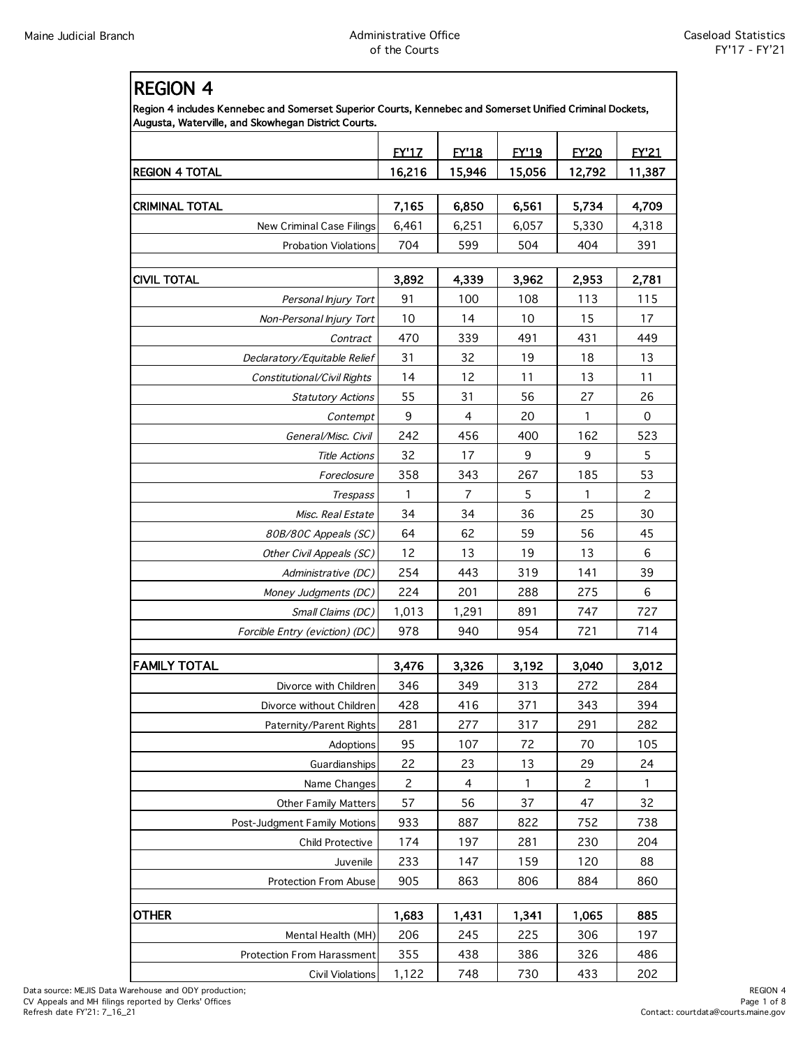| <b>REGION 4</b>                                                                                                                                                 |                      |              |              |                |              |
|-----------------------------------------------------------------------------------------------------------------------------------------------------------------|----------------------|--------------|--------------|----------------|--------------|
| Region 4 includes Kennebec and Somerset Superior Courts, Kennebec and Somerset Unified Criminal Dockets,<br>Augusta, Waterville, and Skowhegan District Courts. |                      |              |              |                |              |
|                                                                                                                                                                 | <b>EY'17</b>         | <b>EY'18</b> | <b>EY'19</b> | <b>FY'20</b>   | <b>FY'21</b> |
| <b>REGION 4 TOTAL</b>                                                                                                                                           | 16,216               | 15,946       | 15,056       | 12,792         | 11,387       |
| <b>CRIMINAL TOTAL</b>                                                                                                                                           | 7,165                | 6,850        | 6,561        | 5,734          | 4,709        |
| New Criminal Case Filings                                                                                                                                       | 6,461                | 6,251        | 6,057        | 5,330          | 4,318        |
| <b>Probation Violations</b>                                                                                                                                     | 704                  | 599          | 504          | 404            | 391          |
|                                                                                                                                                                 |                      |              |              |                |              |
| <b>CIVIL TOTAL</b>                                                                                                                                              | 3,892                | 4,339        | 3,962        | 2,953          | 2,781        |
| Personal Injury Tort                                                                                                                                            | 91                   | 100          | 108          | 113            | 115          |
| Non-Personal Injury Tort                                                                                                                                        | 10                   | 14           | 10           | 15             | 17           |
| Contract                                                                                                                                                        | 470                  | 339          | 491          | 431            | 449          |
| Declaratory/Equitable Relief                                                                                                                                    | 31                   | 32           | 19           | 18             | 13           |
| Constitutional/Civil Rights                                                                                                                                     | 14                   | 12           | 11           | 13             | 11           |
| <b>Statutory Actions</b>                                                                                                                                        | 55                   | 31           | 56           | 27             | 26           |
| Contempt                                                                                                                                                        | 9                    | 4            | 20           | 1              | 0            |
| General/Misc. Civil                                                                                                                                             | 242                  | 456          | 400          | 162            | 523          |
| <b>Title Actions</b>                                                                                                                                            | 32                   | 17           | 9            | 9              | 5            |
| Foreclosure                                                                                                                                                     | 358                  | 343          | 267          | 185            | 53           |
| <b>Trespass</b>                                                                                                                                                 | 1                    | 7            | 5            | 1              | 2            |
| Misc. Real Estate                                                                                                                                               | 34                   | 34           | 36           | 25             | 30           |
| 80B/80C Appeals (SC)                                                                                                                                            | 64                   | 62           | 59           | 56             | 45           |
| Other Civil Appeals (SC)                                                                                                                                        | 12                   | 13           | 19           | 13             | 6            |
| Administrative (DC)                                                                                                                                             | 254                  | 443          | 319          | 141            | 39           |
| Money Judgments (DC)                                                                                                                                            | 224                  | 201          | 288          | 275            | 6            |
| Small Claims (DC)                                                                                                                                               | 1,013                | 1,291        | 891          | 747            | 727          |
| Forcible Entry (eviction) (DC)                                                                                                                                  | 978                  | 940          | 954          | 721            | 714          |
|                                                                                                                                                                 |                      |              |              |                |              |
| <b>FAMILY TOTAL</b>                                                                                                                                             | 3,476                | 3,326        | 3,192        | 3,040          | 3,012        |
| Divorce with Children                                                                                                                                           | 346                  | 349          | 313          | 272            | 284          |
| Divorce without Children                                                                                                                                        | 428                  | 416          | 371          | 343            | 394          |
| Paternity/Parent Rights                                                                                                                                         | 281                  | 277          | 317          | 291            | 282          |
| Adoptions<br>Guardianships                                                                                                                                      | 95                   | 107          | 72           | 70<br>29       | 105<br>24    |
| Name Changes                                                                                                                                                    | 22<br>$\overline{c}$ | 23<br>4      | 13<br>1      | $\overline{c}$ | 1            |
| <b>Other Family Matters</b>                                                                                                                                     | 57                   | 56           | 37           | 47             | 32           |
| Post-Judgment Family Motions                                                                                                                                    | 933                  | 887          | 822          | 752            | 738          |
| Child Protective                                                                                                                                                | 174                  | 197          | 281          | 230            | 204          |
| Juvenile                                                                                                                                                        | 233                  | 147          | 159          | 120            | 88           |
| Protection From Abuse                                                                                                                                           | 905                  | 863          | 806          | 884            | 860          |
|                                                                                                                                                                 |                      |              |              |                |              |
| <b>OTHER</b>                                                                                                                                                    | 1,683                | 1,431        | 1,341        | 1,065          | 885          |
| Mental Health (MH)                                                                                                                                              | 206                  | 245          | 225          | 306            | 197          |
| Protection From Harassment                                                                                                                                      | 355                  | 438          | 386          | 326            | 486          |
| Civil Violations                                                                                                                                                | 1,122                | 748          | 730          | 433            | 202          |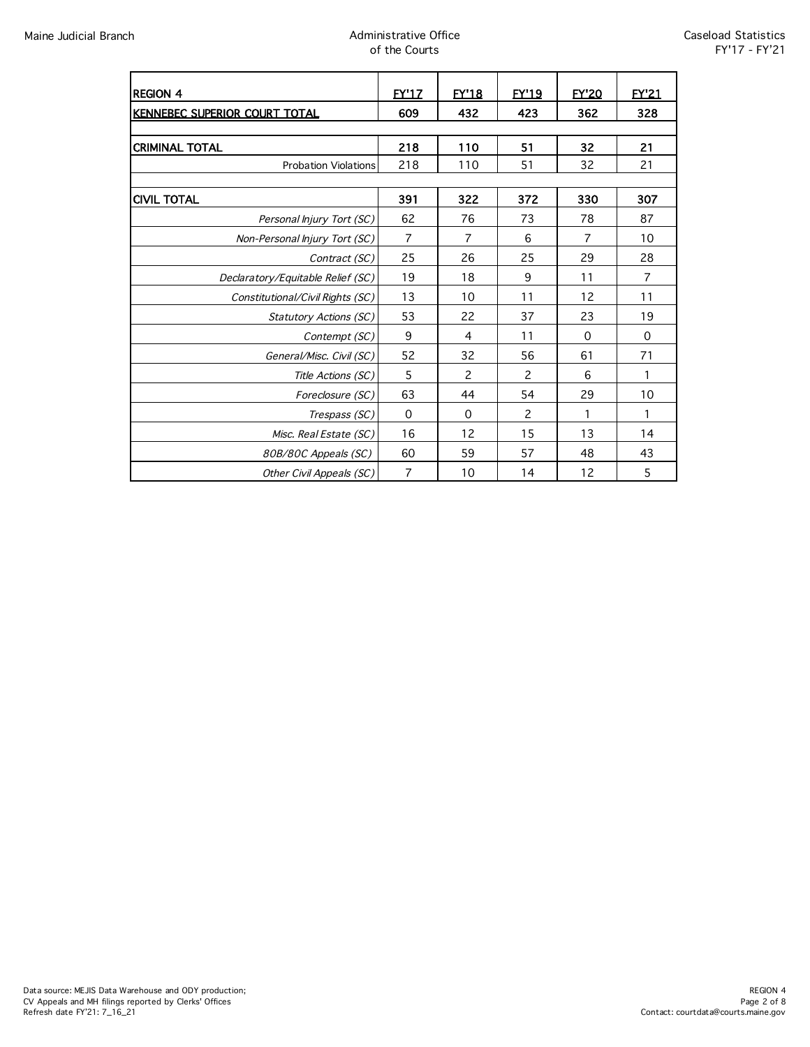# Maine Judicial Branch **Administrative Office** Administrative Office of the Courts

| <b>REGION 4</b>                   | <b>FY'17</b>   | <b>FY'18</b>   | EY'19 | <b>FY'20</b>   | EY'21       |
|-----------------------------------|----------------|----------------|-------|----------------|-------------|
| KENNEBEC SUPERIOR COURT TOTAL     | 609            | 432            | 423   | 362            | 328         |
|                                   |                |                |       |                |             |
| <b>CRIMINAL TOTAL</b>             | 218            | 110            | 51    | 32             | 21          |
| <b>Probation Violations</b>       | 218            | 110            | 51    | 32             | 21          |
|                                   |                |                |       |                |             |
| <b>CIVIL TOTAL</b>                | 391            | 322            | 372   | 330            | 307         |
| Personal Injury Tort (SC)         | 62             | 76             | 73    | 78             | 87          |
| Non-Personal Injury Tort (SC)     | $\overline{7}$ | $\overline{7}$ | 6     | $\overline{7}$ | 10          |
| Contract (SC)                     | 25             | 26             | 25    | 29             | 28          |
| Declaratory/Equitable Relief (SC) | 19             | 18             | 9     | 11             | 7           |
| Constitutional/Civil Rights (SC)  | 13             | 10             | 11    | 12             | 11          |
| <b>Statutory Actions (SC)</b>     | 53             | 22             | 37    | 23             | 19          |
| Contempt (SC)                     | 9              | $\overline{4}$ | 11    | 0              | $\mathbf 0$ |
| General/Misc. Civil (SC)          | 52             | 32             | 56    | 61             | 71          |
| Title Actions (SC)                | 5              | 2              | 2     | 6              | 1           |
| Foreclosure (SC)                  | 63             | 44             | 54    | 29             | 10          |
| Trespass (SC)                     | 0              | $\mathbf 0$    | 2     | 1              | 1           |
| Misc. Real Estate (SC)            | 16             | 12             | 15    | 13             | 14          |
| 80B/80C Appeals (SC)              | 60             | 59             | 57    | 48             | 43          |
| Other Civil Appeals (SC)          | $\overline{7}$ | 10             | 14    | 12             | 5           |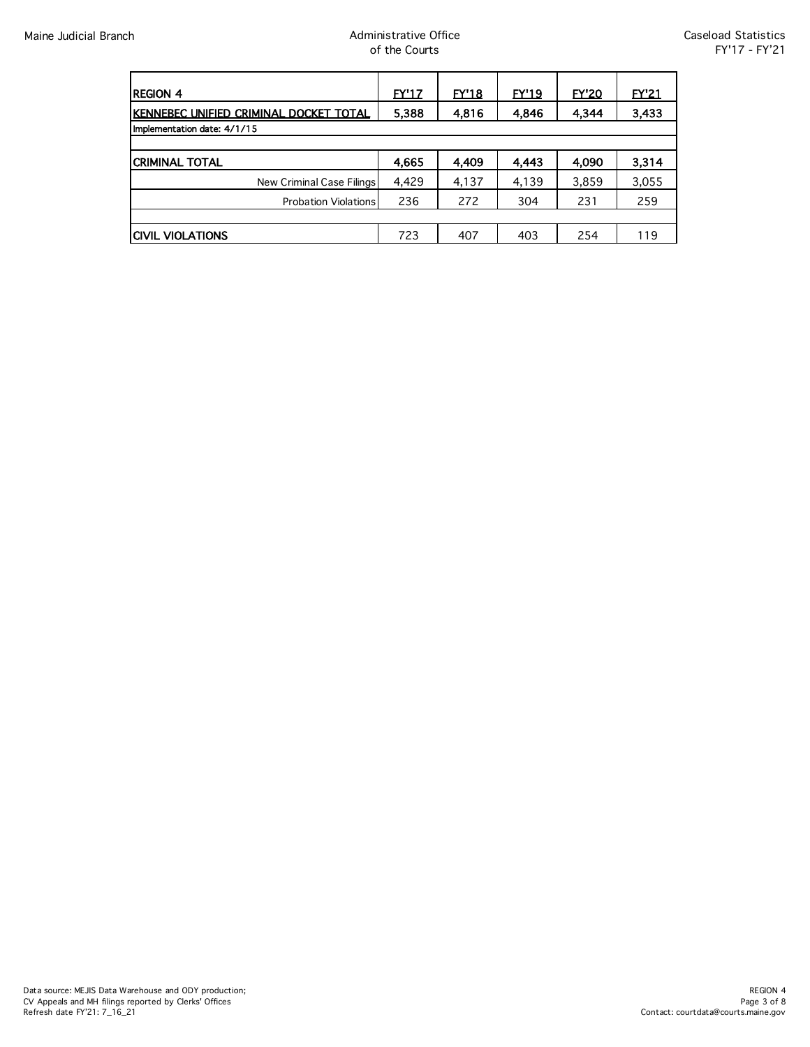| <b>REGION 4</b>                        | <u>EY'17</u> | EY18  | EY'19 | <b>EY'20</b> | <b>EY'21</b> |
|----------------------------------------|--------------|-------|-------|--------------|--------------|
| KENNEBEC UNIFIED CRIMINAL DOCKET TOTAL | 5,388        | 4,816 | 4,846 | 4,344        | 3,433        |
| Implementation date: 4/1/15            |              |       |       |              |              |
|                                        |              |       |       |              |              |
| <b>CRIMINAL TOTAL</b>                  | 4,665        | 4.409 | 4,443 | 4.090        | 3,314        |
| New Criminal Case Filings              | 4,429        | 4,137 | 4,139 | 3,859        | 3,055        |
| <b>Probation Violations</b>            | 236          | 272   | 304   | 231          | 259          |
|                                        |              |       |       |              |              |
| <b>CIVIL VIOLATIONS</b>                | 723          | 407   | 403   | 254          | 119          |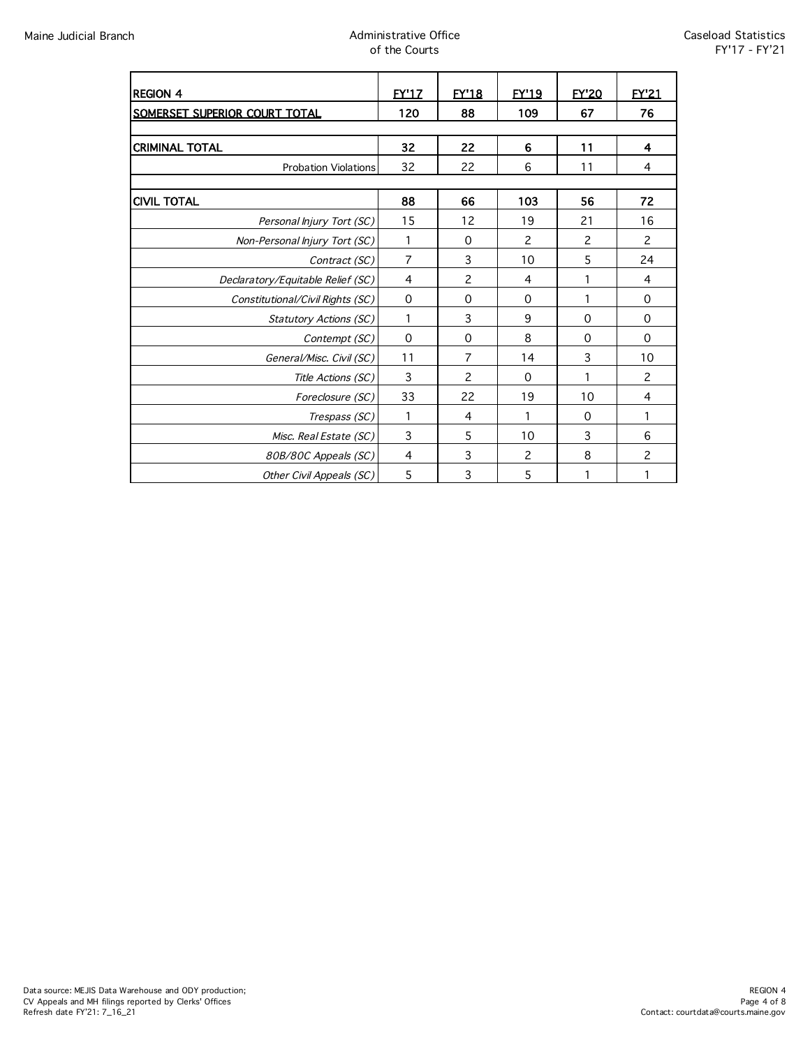# Maine Judicial Branch **Administrative Office** Administrative Office of the Courts

| <b>REGION 4</b>                   | <b>FY'17</b>   | <b>EY'18</b>   | <b>EY'19</b>   | <b>FY'20</b>   | <b>FY'21</b>   |
|-----------------------------------|----------------|----------------|----------------|----------------|----------------|
| SOMERSET SUPERIOR COURT TOTAL     | 120            | 88             | 109            | 67             | 76             |
|                                   |                |                |                |                |                |
| <b>CRIMINAL TOTAL</b>             | 32             | 22             | 6              | 11             | 4              |
| <b>Probation Violations</b>       | 32             | 22             | 6              | 11             | 4              |
|                                   |                |                |                |                |                |
| <b>CIVIL TOTAL</b>                | 88             | 66             | 103            | 56             | 72             |
| Personal Injury Tort (SC)         | 15             | 12             | 19             | 21             | 16             |
| Non-Personal Injury Tort (SC)     | 1              | 0              | 2              | $\overline{c}$ | 2              |
| Contract (SC)                     | $\overline{7}$ | 3              | 10             | 5              | 24             |
| Declaratory/Equitable Relief (SC) | 4              | 2              | $\overline{a}$ | 1              | 4              |
| Constitutional/Civil Rights (SC)  | 0              | 0              | 0              | 1              | 0              |
| <b>Statutory Actions (SC)</b>     | 1              | 3              | 9              | $\Omega$       | $\Omega$       |
| Contempt (SC)                     | 0              | $\mathbf 0$    | 8              | 0              | $\mathbf 0$    |
| General/Misc. Civil (SC)          | 11             | 7              | 14             | 3              | 10             |
| Title Actions (SC)                | 3              | $\overline{c}$ | $\Omega$       | 1              | 2              |
| Foreclosure (SC)                  | 33             | 22             | 19             | 10             | $\overline{4}$ |
| Trespass (SC)                     | 1              | 4              | 1              | 0              | 1              |
| Misc. Real Estate (SC)            | 3              | 5              | 10             | 3              | 6              |
| 80B/80C Appeals (SC)              | 4              | 3              | $\overline{c}$ | 8              | $\overline{c}$ |
| Other Civil Appeals (SC)          | 5              | 3              | 5              | 1              | 1              |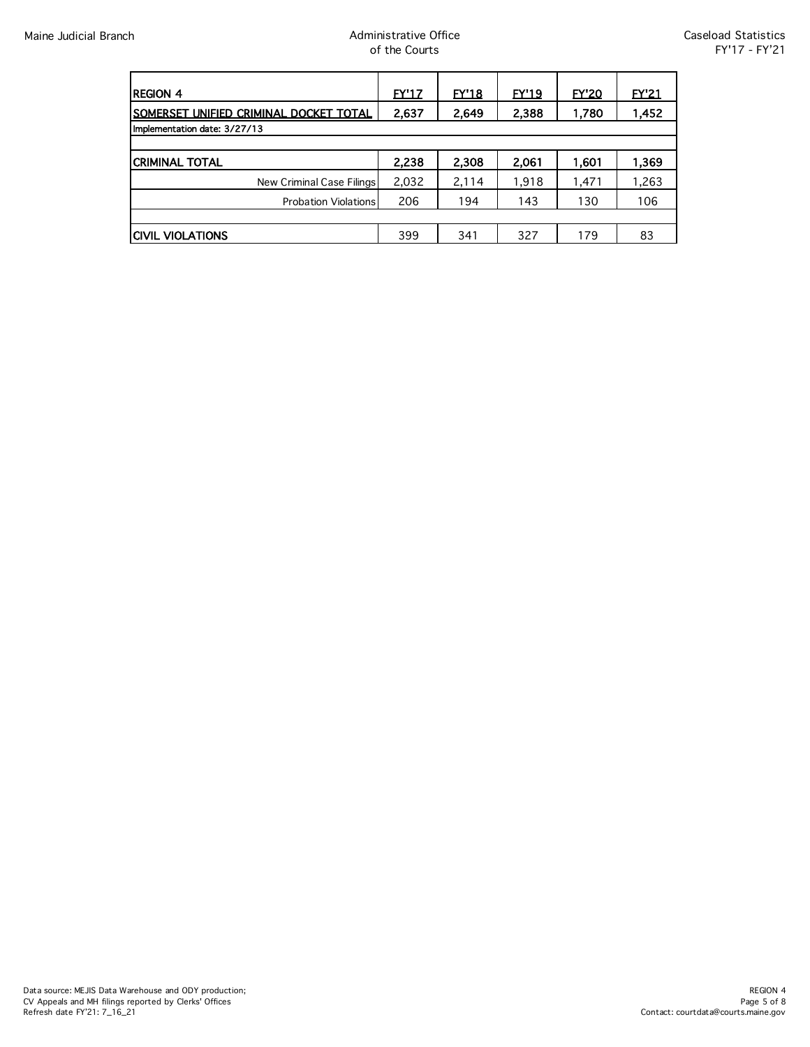| <b>REGION 4</b>                                 | <b>FY'17</b> | <b>EY'18</b> | <u>EY'19</u> | <b>EY'20</b> | <b>EY'21</b> |
|-------------------------------------------------|--------------|--------------|--------------|--------------|--------------|
| <u> ISOMERSET UNIFIED CRIMINAL DOCKET TOTAL</u> | 2,637        | 2,649        | 2,388        | 1,780        | 1,452        |
| Implementation date: 3/27/13                    |              |              |              |              |              |
|                                                 |              |              |              |              |              |
| <b>CRIMINAL TOTAL</b>                           | 2,238        | 2,308        | 2.061        | 1,601        | 1,369        |
| New Criminal Case Filings                       | 2,032        | 2,114        | 1.918        | 1,471        | 1,263        |
| <b>Probation Violations</b>                     | 206          | 194          | 143          | 130          | 106          |
|                                                 |              |              |              |              |              |
| <b>CIVIL VIOLATIONS</b>                         | 399          | 341          | 327          | 179          | 83           |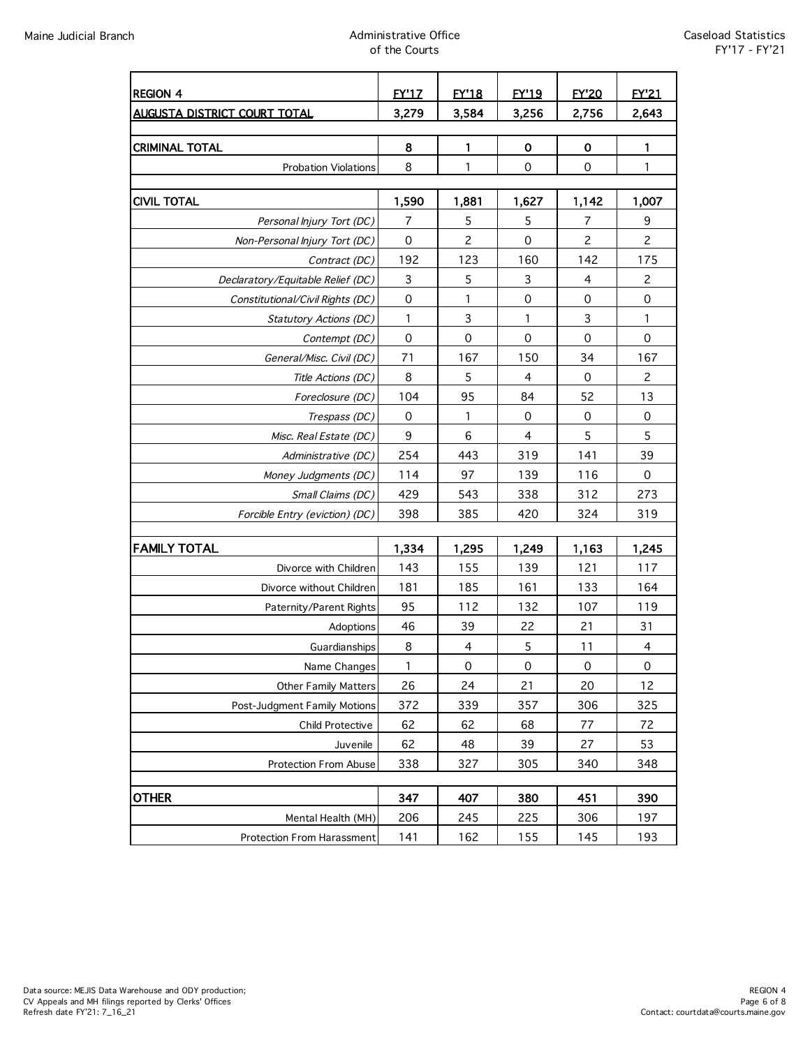# Maine Judicial Branch Administrative Office of the Courts

| <b>REGION 4</b>                     | <b>EY'17</b>        | <b>FY'18</b>              | <b>EY'19</b>   | <b>EY'20</b> | <b>FY'21</b>        |
|-------------------------------------|---------------------|---------------------------|----------------|--------------|---------------------|
| <b>AUGUSTA DISTRICT COURT TOTAL</b> | 3,279               | 3.584                     | 3,256          | 2,756        | 2,643               |
| <b>CRIMINAL TOTAL</b>               | 8                   | $\mathbf{1}$              | $\mathbf 0$    | $\mathbf 0$  | 1                   |
| <b>Probation Violations</b>         | 8                   | 1                         | $\mathbf 0$    | $\mathbf 0$  | $\mathbf{1}$        |
|                                     |                     |                           |                |              |                     |
| <b>CIVIL TOTAL</b>                  | 1,590               | 1,881                     | 1,627          | 1,142        | 1,007               |
| Personal Injury Tort (DC)           | 7                   | 5                         | 5              | 7            | 9                   |
| Non-Personal Injury Tort (DC)       | $\mathsf{O}\xspace$ | $\overline{c}$            | 0              | 2            | $\overline{c}$      |
| Contract (DC)                       | 192                 | 123                       | 160            | 142          | 175                 |
| Declaratory/Equitable Relief (DC)   | 3                   | 5                         | 3              | 4            | $\overline{c}$      |
| Constitutional/Civil Rights (DC)    | $\mathsf{O}\xspace$ | 1                         | 0              | $\mathbf 0$  | $\mathsf{O}\xspace$ |
| Statutory Actions (DC)              | 1                   | $\ensuremath{\mathsf{3}}$ | 1              | 3            | 1                   |
| Contempt (DC)                       | $\mathbf 0$         | $\mathbf 0$               | 0              | 0            | $\mathsf{O}\xspace$ |
| General/Misc. Civil (DC)            | 71                  | 167                       | 150            | 34           | 167                 |
| Title Actions (DC)                  | 8                   | 5                         | $\overline{4}$ | $\mathbf 0$  | $\overline{c}$      |
| Foreclosure (DC)                    | 104                 | 95                        | 84             | 52           | 13                  |
| Trespass (DC)                       | $\mathsf{O}\xspace$ | $\mathbf{1}$              | 0              | $\mathbf 0$  | $\pmb{0}$           |
| Misc. Real Estate (DC)              | 9                   | 6                         | $\overline{4}$ | 5            | 5                   |
| Administrative (DC)                 | 254                 | 443                       | 319            | 141          | 39                  |
| Money Judgments (DC)                | 114                 | 97                        | 139            | 116          | $\mathsf{O}\xspace$ |
| Small Claims (DC)                   | 429                 | 543                       | 338            | 312          | 273                 |
| Forcible Entry (eviction) (DC)      | 398                 | 385                       | 420            | 324          | 319                 |
|                                     |                     |                           |                |              |                     |
| <b>FAMILY TOTAL</b>                 | 1,334               | 1,295                     | 1,249          | 1,163        | 1,245               |
| Divorce with Children               | 143                 | 155                       | 139            | 121          | 117                 |
| Divorce without Children            | 181                 | 185                       | 161            | 133          | 164                 |
| Paternity/Parent Rights             | 95                  | 112                       | 132            | 107          | 119                 |
| Adoptions                           | 46                  | 39                        | 22             | 21           | 31                  |
| Guardianships                       | 8                   | 4                         | 5              | 11           | $\overline{4}$      |
| Name Changes                        | 1                   | 0                         | 0              | $\mathbf 0$  | 0                   |
| <b>Other Family Matters</b>         | 26                  | 24                        | 21             | 20           | 12                  |
| Post-Judgment Family Motions        | 372                 | 339                       | 357            | 306          | 325                 |
| <b>Child Protective</b>             | 62                  | 62                        | 68             | 77           | 72                  |
| Juvenile                            | 62                  | 48                        | 39             | 27           | 53                  |
| <b>Protection From Abuse</b>        | 338                 | 327                       | 305            | 340          | 348                 |
|                                     |                     |                           |                |              |                     |
| <b>OTHER</b>                        | 347                 | 407                       | 380            | 451          | 390                 |
| Mental Health (MH)                  | 206                 | 245                       | 225            | 306          | 197                 |
| Protection From Harassment          | 141                 | 162                       | 155            | 145          | 193                 |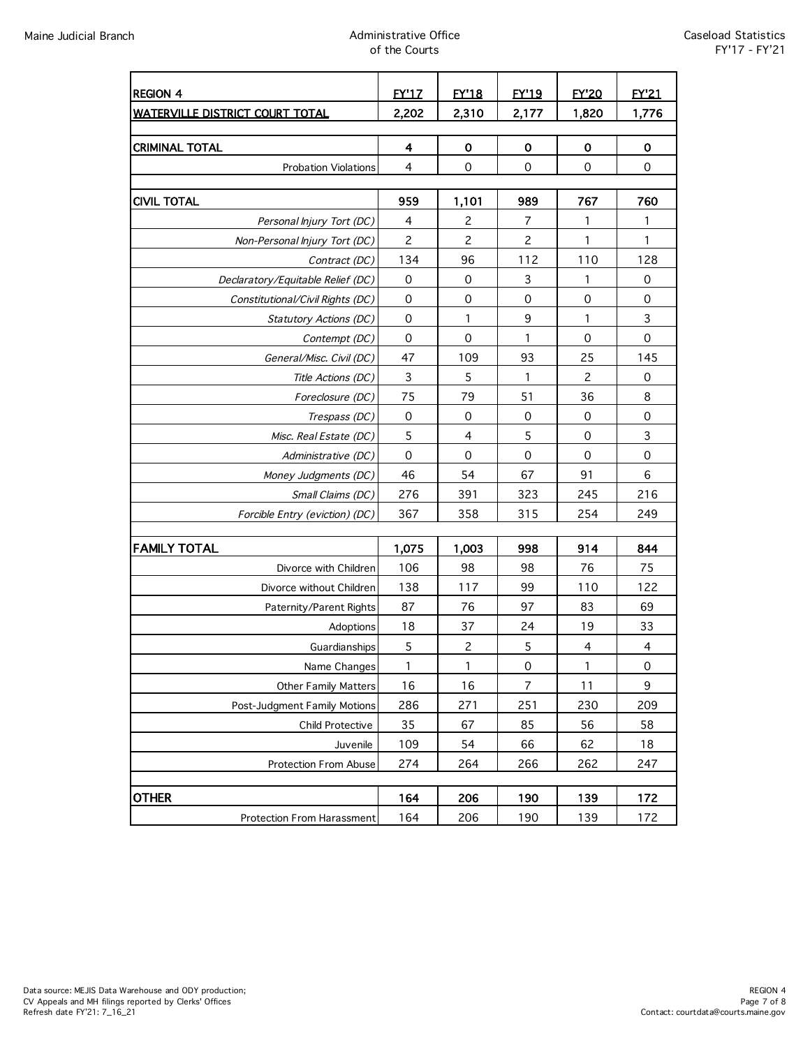# Maine Judicial Branch Administrative Office of the Courts

| <b>REGION 4</b>                                            | <b>FY'17</b>            | <b>EY'18</b>                                 | <b>EY'19</b>        | <b>EY'20</b>     | <b>FY'21</b>             |
|------------------------------------------------------------|-------------------------|----------------------------------------------|---------------------|------------------|--------------------------|
| <b>WATERVILLE DISTRICT COURT TOTAL</b>                     | 2,202                   | 2,310                                        | 2,177               | 1,820            | 1,776                    |
|                                                            |                         |                                              |                     |                  |                          |
| <b>CRIMINAL TOTAL</b>                                      | 4                       | O                                            | 0                   | $\mathbf 0$      | 0                        |
| <b>Probation Violations</b>                                | 4                       | $\mathbf 0$                                  | 0                   | $\mathbf 0$      | $\mathsf{O}\xspace$      |
|                                                            |                         |                                              |                     |                  |                          |
| <b>CIVIL TOTAL</b>                                         | 959                     | 1,101                                        | 989                 | 767              | 760                      |
| Personal Injury Tort (DC)                                  | 4                       | 2                                            | 7<br>2              | 1<br>1           | 1<br>1                   |
| Non-Personal Injury Tort (DC)                              | 2<br>134                | 2<br>96                                      | 112                 | 110              | 128                      |
| Contract (DC)                                              |                         |                                              |                     |                  | 0                        |
| Declaratory/Equitable Relief (DC)                          | 0<br>0                  | 0<br>$\mathbf 0$                             | 3<br>0              | 1<br>$\mathbf 0$ | $\pmb{0}$                |
| Constitutional/Civil Rights (DC)<br>Statutory Actions (DC) | 0                       | 1                                            | 9                   | 1                | 3                        |
| Contempt (DC)                                              | $\mathbf 0$             | $\mathbf 0$                                  | 1                   | $\mathbf 0$      | $\mathbf 0$              |
| General/Misc. Civil (DC)                                   | 47                      | 109                                          | 93                  | 25               | 145                      |
| Title Actions (DC)                                         | 3                       | 5                                            | $\mathbf{1}$        | $\overline{c}$   | $\mathsf{O}\xspace$      |
| Foreclosure (DC)                                           | 75                      | 79                                           | 51                  | 36               | 8                        |
| Trespass (DC)                                              | $\mbox{O}$              | $\mathbf 0$                                  | $\mathsf{O}\xspace$ | $\mathbf 0$      | $\mathsf{O}\xspace$      |
| Misc. Real Estate (DC)                                     | 5                       | 4                                            | 5                   | 0                | $\mathsf 3$              |
| Administrative (DC)                                        | 0                       | 0                                            | $\mathbf 0$         | 0                | $\mathsf{O}\xspace$      |
| Money Judgments (DC)                                       | 46                      | 54                                           | 67                  | 91               | 6                        |
| Small Claims (DC)                                          | 276                     | 391                                          | 323                 | 245              | 216                      |
| Forcible Entry (eviction) (DC)                             | 367                     | 358                                          | 315                 | 254              | 249                      |
|                                                            |                         |                                              |                     |                  |                          |
| <b>FAMILY TOTAL</b>                                        | 1,075                   | 1,003                                        | 998                 | 914              | 844                      |
| Divorce with Children                                      | 106                     | 98                                           | 98                  | 76               | 75                       |
| Divorce without Children                                   | 138                     | 117                                          | 99                  | 110              | 122                      |
| Paternity/Parent Rights                                    | 87                      | 76                                           | 97                  | 83               | 69                       |
| Adoptions                                                  | 18                      | 37                                           | 24                  | 19               | 33                       |
| Guardianships                                              | 5                       | $\mathbf{2}$                                 | 5                   | $\overline{4}$   | $\overline{\mathcal{A}}$ |
| Name Changes                                               | $\mathsf{1}\phantom{1}$ | $\begin{array}{c} \n\text{1} \\ \end{array}$ | $\mathsf{O}\xspace$ | $\mathbf{1}$     | $\mathsf{O}\xspace$      |
| <b>Other Family Matters</b>                                | 16                      | 16                                           | $\overline{7}$      | 11               | 9                        |
| Post-Judgment Family Motions                               | 286                     | 271                                          | 251                 | 230              | 209                      |
| Child Protective                                           | 35                      | 67                                           | 85                  | 56               | 58                       |
| Juvenile                                                   | 109                     | 54                                           | 66                  | 62               | 18                       |
| Protection From Abuse                                      | 274                     | 264                                          | 266                 | 262              | 247                      |
|                                                            |                         |                                              |                     |                  |                          |
| <b>OTHER</b>                                               | 164                     | 206                                          | 190                 | 139              | 172                      |
| <b>Protection From Harassment</b>                          | 164                     | 206                                          | 190                 | 139              | 172                      |